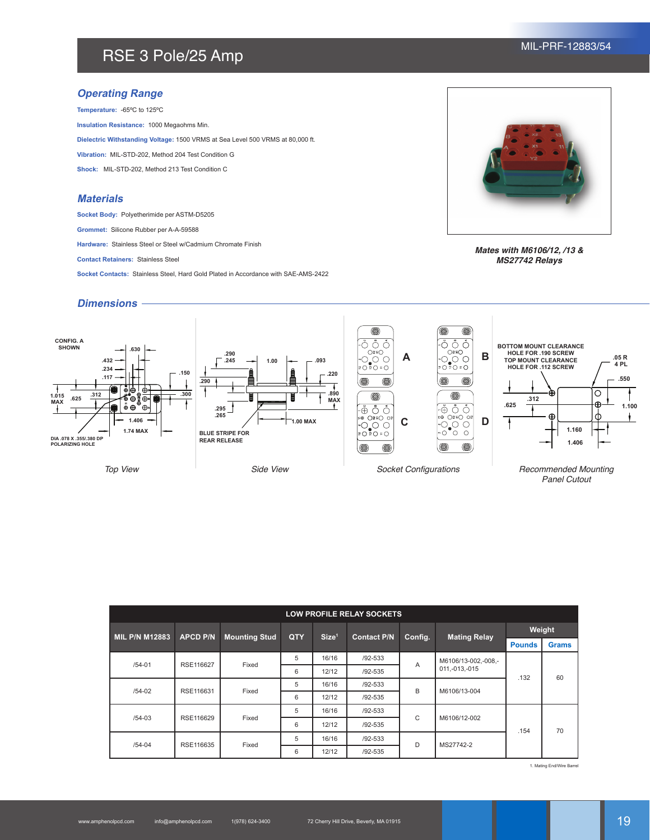# RSE 3 Pole/25 Amp MIL-PRF-12883/54

# **Operating Range**

**Temperature:** -65ºC to 125ºC **Insulation Resistance:** 1000 Megaohms Min. **Dielectric Withstanding Voltage:** 1500 VRMS at Sea Level 500 VRMS at 80,000 ft. **Vibration:** MIL-STD-202, Method 204 Test Condition G **Shock:** MIL-STD-202, Method 213 Test Condition C

### **Materials**

**Socket Body:** Polyetherimide per ASTM-D5205

**Grommet:** Silicone Rubber per A-A-59588

**Hardware:** Stainless Steel or Steel w/Cadmium Chromate Finish

**Contact Retainers:** Stainless Steel

**Socket Contacts:** Stainless Steel, Hard Gold Plated in Accordance with SAE-AMS-2422



*Mates with M6106/12, /13 & MS27742 Relays*

# **Dimensions**



| <b>LOW PROFILE RELAY SOCKETS</b> |                 |                      |            |                   |                    |              |                                        |               |              |  |  |  |
|----------------------------------|-----------------|----------------------|------------|-------------------|--------------------|--------------|----------------------------------------|---------------|--------------|--|--|--|
| <b>MIL P/N M12883</b>            | <b>APCD P/N</b> | <b>Mounting Stud</b> | <b>QTY</b> | Size <sup>1</sup> | <b>Contact P/N</b> | Config.      | <b>Mating Relay</b>                    | Weight        |              |  |  |  |
|                                  |                 |                      |            |                   |                    |              |                                        | <b>Pounds</b> | <b>Grams</b> |  |  |  |
| $/54 - 01$                       | RSE116627       | Fixed                | 5          | 16/16             | $/92 - 533$        | A            | M6106/13-002.-008.-<br>011, -013, -015 | .132          | 60           |  |  |  |
|                                  |                 |                      | 6          | 12/12             | $/92 - 535$        |              |                                        |               |              |  |  |  |
| $/54-02$                         | RSE116631       | Fixed                | 5          | 16/16             | $/92 - 533$        | B            | M6106/13-004                           |               |              |  |  |  |
|                                  |                 |                      | 6          | 12/12             | $/92 - 535$        |              |                                        |               |              |  |  |  |
| $/54 - 03$                       | RSE116629       | Fixed                | 5          | 16/16             | $/92 - 533$        | $\mathsf{C}$ | M6106/12-002                           | .154          | 70           |  |  |  |
|                                  |                 |                      | 6          | 12/12             | $/92 - 535$        |              |                                        |               |              |  |  |  |
| $/54 - 04$                       | RSE116635       | Fixed                | 5          | 16/16             | $/92 - 533$        | D            | MS27742-2                              |               |              |  |  |  |
|                                  |                 |                      | 6          | 12/12             | $/92 - 535$        |              |                                        |               |              |  |  |  |

1. Mating End/Wire Barrel